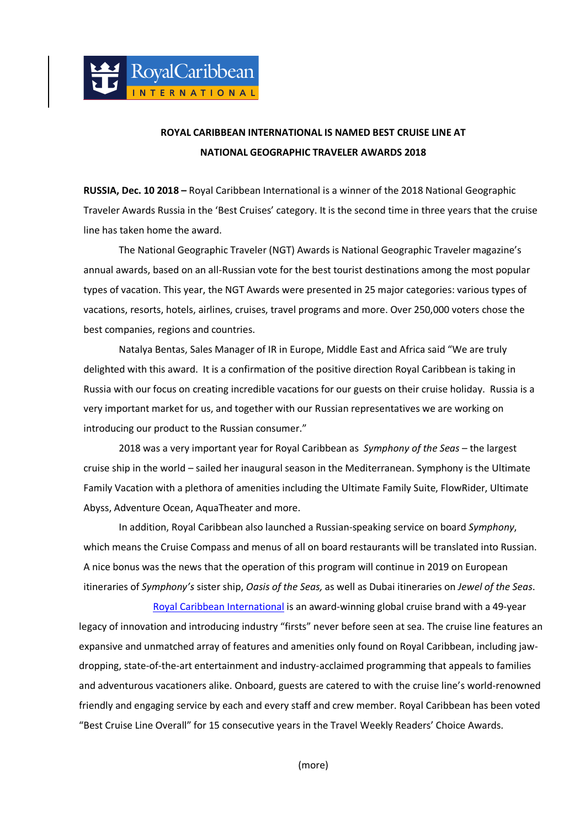## **ROYAL CARIBBEAN INTERNATIONAL IS NAMED BEST CRUISE LINE AT NATIONAL GEOGRAPHIC TRAVELER AWARDS 2018**

Į

**RUSSIA, Dec. 10 2018 –** Royal Caribbean International is a winner of the 2018 National Geographic Traveler Awards Russia in the 'Best Cruises' category. It is the second time in three years that the cruise line has taken home the award.

The National Geographic Traveler (NGT) Awards is National Geographic Traveler magazine's annual awards, based on an all-Russian vote for the best tourist destinations among the most popular types of vacation. This year, the NGT Awards were presented in 25 major categories: various types of vacations, resorts, hotels, airlines, cruises, travel programs and more. Over 250,000 voters chose the best companies, regions and countries.

Natalya Bentas, Sales Manager of IR in Europe, Middle East and Africa said "We are truly delighted with this award. It is a confirmation of the positive direction Royal Caribbean is taking in Russia with our focus on creating incredible vacations for our guests on their cruise holiday. Russia is a very important market for us, and together with our Russian representatives we are working on introducing our product to the Russian consumer."

2018 was a very important year for Royal Caribbean as *Symphony of the Seas* – the largest cruise ship in the world – sailed her inaugural season in the Mediterranean. Symphony is the Ultimate Family Vacation with a plethora of amenities including the Ultimate Family Suite, FlowRider, Ultimate Abyss, Adventure Ocean, AquaTheater and more.

In addition, Royal Caribbean also launched a Russian-speaking service on board *Symphony*, which means the Cruise Compass and menus of all on board restaurants will be translated into Russian. A nice bonus was the news that the operation of this program will continue in 2019 on European itineraries of *Symphony's* sister ship, *Oasis of the Seas,* as well as Dubai itineraries on *Jewel of the Seas*.

[Royal Caribbean International](https://www.royalcaribbean.com/?wuc=USA) is an award-winning global cruise brand with a 49-year legacy of innovation and introducing industry "firsts" never before seen at sea. The cruise line features an expansive and unmatched array of features and amenities only found on Royal Caribbean, including jawdropping, state-of-the-art entertainment and industry-acclaimed programming that appeals to families and adventurous vacationers alike. Onboard, guests are catered to with the cruise line's world-renowned friendly and engaging service by each and every staff and crew member. Royal Caribbean has been voted "Best Cruise Line Overall" for 15 consecutive years in the Travel Weekly Readers' Choice Awards.

(more)